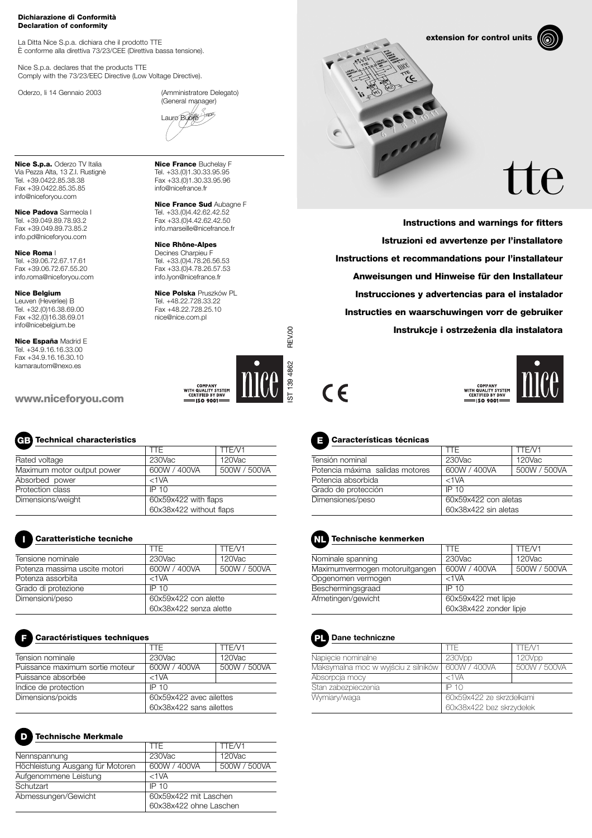#### **Dichiarazione di Conformità Declaration of conformity**

La Ditta Nice S.p.a. dichiara che il prodotto TTE È conforme alla direttiva 73/23/CEE (Direttiva bassa tensione).

Nice S.p.a. declares that the products TTE Comply with the 73/23/EEC Directive (Low Voltage Directive).

Oderzo, li 14 Gennaio 2003 (Amministratore Delegato) (General manager)

Lauro Buoro

**Nice S.p.a.** Oderzo TV Italia Via Pezza Alta, 13 Z.I. Rustignè Tel. +39.0422.85.38.38 Fax +39.0422.85.35.85 info@niceforyou.com

**Nice Padova** Sarmeola I Tel. +39.049.89.78.93.2 Fax +39.049.89.73.85.2 info.pd@niceforyou.com

**Nice Roma** I Tel. +39.06.72.67.17.61 Fax +39.06.72.67.55.20 info.roma@niceforyou.com

#### **Nice Belgium**

Leuven (Heverlee) B Tel. +32.(0)16.38.69.00 Fax +32.(0)16.38.69.01 info@nicebelgium.be

**Nice España** Madrid E Tel. +34.9.16.16.33.00 Fax +34.9.16.16.30.10 kamarautom@nexo.es

**www.niceforyou.com**

## **Technical characteristics GB**

|                            | TTF.                    | TTE/V1       |
|----------------------------|-------------------------|--------------|
| Rated voltage              | 230Vac                  | 120Vac       |
| Maximum motor output power | 600W / 400VA            | 500W / 500VA |
| Absorbed power             | $<$ 1 $VA$              |              |
| Protection class           | IP 10                   |              |
| Dimensions/weight          | 60x59x422 with flaps    |              |
|                            | 60x38x422 without flaps |              |

### **Caratteristiche tecniche**

| Caratteristiche tecniche      |                                                |              |
|-------------------------------|------------------------------------------------|--------------|
|                               | TTF.                                           | TTE/V1       |
| Tensione nominale             | 230Vac                                         | 120Vac       |
| Potenza massima uscite motori | 600W / 400VA                                   | 500W / 500VA |
| Potenza assorbita             | $<$ 1 $VA$                                     |              |
| Grado di protezione           | IP 10                                          |              |
| Dimensioni/peso               | 60x59x422 con alette<br>60x38x422 senza alette |              |
|                               |                                                |              |

## **Caractéristiques techniques F**

|                                 | TTF                     | TTF/V1       |
|---------------------------------|-------------------------|--------------|
| Tension nominale                | $230$ Vac               | 120Vac       |
| Puissance maximum sortie moteur | 600W / 400VA            | 500W / 500VA |
| Puissance absorbée              | $<$ 1 $VA$              |              |
| Indice de protection            | IP 10                   |              |
| Dimensions/poids                | 60x59x422 avec ailettes |              |
|                                 | 60x38x422 sans ailettes |              |

#### **Technische Merkmale**

**D**

|                                  | TTF                    | TTE/V1       |
|----------------------------------|------------------------|--------------|
| Nennspannung                     | $230$ Vac              | 120Vac       |
| Höchleistung Ausgang für Motoren | 600W / 400VA           | 500W / 500VA |
| Aufgenommene Leistung            | $<$ 1 $VA$             |              |
| Schutzart                        | IP 10                  |              |
| Abmessungen/Gewicht              | 60x59x422 mit Laschen  |              |
|                                  | 60x38x422 ohne Laschen |              |

**Nice France** Buchelay F Tel. +33.(0)1.30.33.95.95 Fax +33.(0)1.30.33.95.96 info@nicefrance.fr

**Nice France Sud** Aubagne F Tel. +33.(0)4.42.62.42.52 Fax +33.(0)4.42.62.42.50 info.marseille@nicefrance.fr

**Nice Rhône-Alpes** Decines Charpieu F

Tel. +33.(0)4.78.26.56.53 Fax +33.(0)4.78.26.57.53 info.lyon@nicefrance.fr

**Nice Polska** Pruszków PL Tel. +48.22.728.33.22 Fax +48.22.728.25.10 nice@nice.com.pl



**extension for control units**



# $\vdash$ e $\vdash$

**Instructions and warnings for fitters Istruzioni ed avvertenze per l'installatore Instructions et recommandations pour l'installateur Anweisungen und Hinweise für den Installateur Instrucciones y advertencias para el instalador Instructies en waarschuwingen vorr de gebruiker Instrukcje i ostrzez. enia dla instalatora** 





## **Características técnicas E**

| TTF                  | TTE/V1       |
|----------------------|--------------|
| 230Vac               | 120Vac       |
| 600W / 400VA         | 500W / 500VA |
| $<$ 1 $VA$           |              |
| IP 10                |              |
| 60x59x422 con aletas |              |
| 60x38x422 sin aletas |              |
|                      |              |

# **Technische kenmerken NL**

|                                | TTF                    | TTE/V1       |
|--------------------------------|------------------------|--------------|
| Nominale spanning              | $230$ Vac              | $120$ Vac    |
| Maximumvermogen motoruitgangen | 600W / 400VA           | 500W / 500VA |
| Opgenomen vermogen             | $<$ 1 $VA$             |              |
| Beschermingsgraad              | IP 10                  |              |
| Afmetingen/gewicht             | 60x59x422 met lipje    |              |
|                                | 60x38x422 zonder lipje |              |



|                                     | TF.                                                  | TTF/V1       |
|-------------------------------------|------------------------------------------------------|--------------|
| Napiecie nominalne                  | 230Vpp                                               | 120Vpp       |
| Maksymalna moc w wyjściu z silników | 600W / 400VA                                         | 500W / 500VA |
| Absorpcja mocy                      | $<$ 1 $VA$                                           |              |
| Stan zabezpieczenia                 | IP 10                                                |              |
| Wymiary/waga                        | 60x59x422 ze skrzdełkami<br>60x38x422 bez skrzydełek |              |
|                                     |                                                      |              |